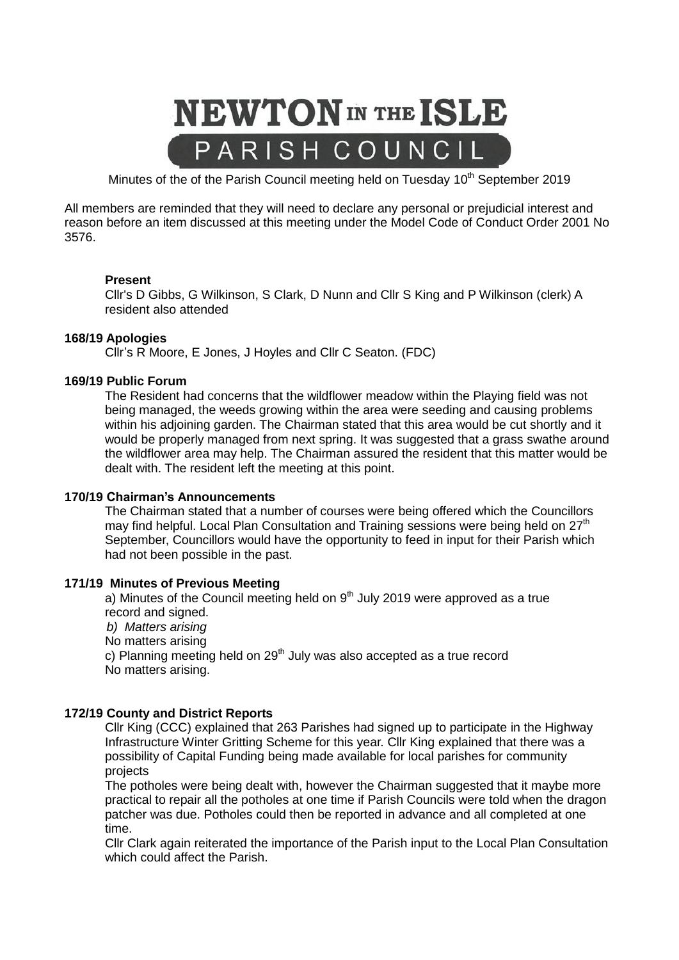

Minutes of the of the Parish Council meeting held on Tuesday  $10<sup>th</sup>$  September 2019

All members are reminded that they will need to declare any personal or prejudicial interest and reason before an item discussed at this meeting under the Model Code of Conduct Order 2001 No 3576.

# **Present**

Cllr's D Gibbs, G Wilkinson, S Clark, D Nunn and Cllr S King and P Wilkinson (clerk) A resident also attended

## **168/19 Apologies**

Cllr's R Moore, E Jones, J Hoyles and Cllr C Seaton. (FDC)

# **169/19 Public Forum**

The Resident had concerns that the wildflower meadow within the Playing field was not being managed, the weeds growing within the area were seeding and causing problems within his adjoining garden. The Chairman stated that this area would be cut shortly and it would be properly managed from next spring. It was suggested that a grass swathe around the wildflower area may help. The Chairman assured the resident that this matter would be dealt with. The resident left the meeting at this point.

## **170/19 Chairman's Announcements**

The Chairman stated that a number of courses were being offered which the Councillors may find helpful. Local Plan Consultation and Training sessions were being held on 27<sup>th</sup> September, Councillors would have the opportunity to feed in input for their Parish which had not been possible in the past.

## **171/19 Minutes of Previous Meeting**

a) Minutes of the Council meeting held on  $9<sup>th</sup>$  July 2019 were approved as a true record and signed.

 *b) Matters arising*

No matters arising

c) Planning meeting held on 29<sup>th</sup> July was also accepted as a true record No matters arising.

# **172/19 County and District Reports**

Cllr King (CCC) explained that 263 Parishes had signed up to participate in the Highway Infrastructure Winter Gritting Scheme for this year. Cllr King explained that there was a possibility of Capital Funding being made available for local parishes for community projects

The potholes were being dealt with, however the Chairman suggested that it maybe more practical to repair all the potholes at one time if Parish Councils were told when the dragon patcher was due. Potholes could then be reported in advance and all completed at one time.

Cllr Clark again reiterated the importance of the Parish input to the Local Plan Consultation which could affect the Parish.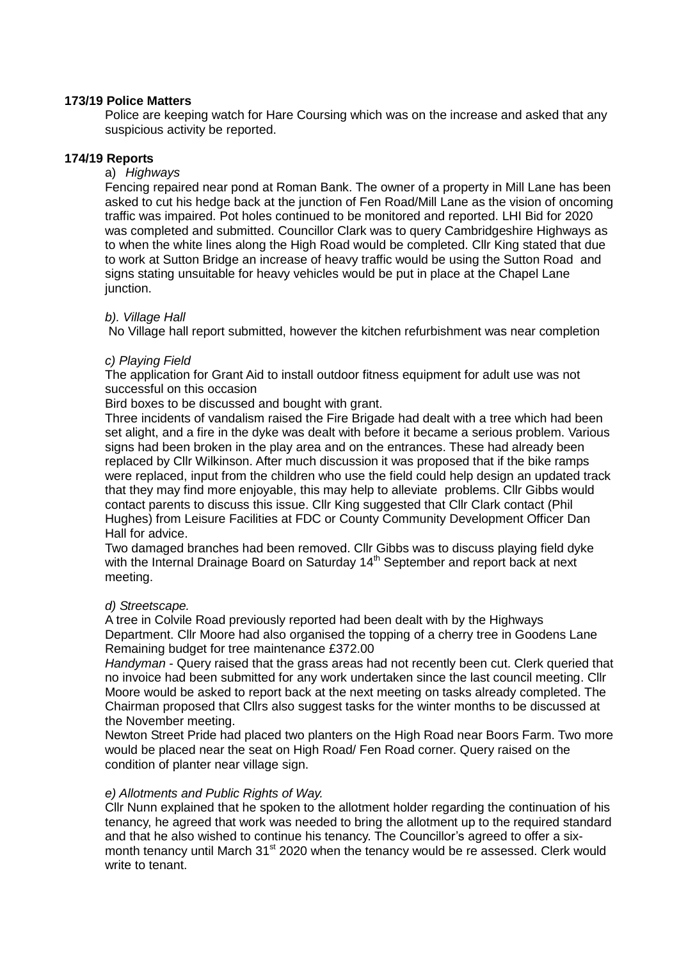# **173/19 Police Matters**

Police are keeping watch for Hare Coursing which was on the increase and asked that any suspicious activity be reported.

## **174/19 Reports**

## a) *Highways*

Fencing repaired near pond at Roman Bank. The owner of a property in Mill Lane has been asked to cut his hedge back at the junction of Fen Road/Mill Lane as the vision of oncoming traffic was impaired. Pot holes continued to be monitored and reported. LHI Bid for 2020 was completed and submitted. Councillor Clark was to query Cambridgeshire Highways as to when the white lines along the High Road would be completed. Cllr King stated that due to work at Sutton Bridge an increase of heavy traffic would be using the Sutton Road and signs stating unsuitable for heavy vehicles would be put in place at the Chapel Lane junction.

## *b). Village Hall*

No Village hall report submitted, however the kitchen refurbishment was near completion

# *c) Playing Field*

The application for Grant Aid to install outdoor fitness equipment for adult use was not successful on this occasion

Bird boxes to be discussed and bought with grant.

Three incidents of vandalism raised the Fire Brigade had dealt with a tree which had been set alight, and a fire in the dyke was dealt with before it became a serious problem. Various signs had been broken in the play area and on the entrances. These had already been replaced by Cllr Wilkinson. After much discussion it was proposed that if the bike ramps were replaced, input from the children who use the field could help design an updated track that they may find more enjoyable, this may help to alleviate problems. Cllr Gibbs would contact parents to discuss this issue. Cllr King suggested that Cllr Clark contact (Phil Hughes) from Leisure Facilities at FDC or County Community Development Officer Dan Hall for advice.

Two damaged branches had been removed. Cllr Gibbs was to discuss playing field dyke with the Internal Drainage Board on Saturday 14<sup>th</sup> September and report back at next meeting.

## *d) Streetscape.*

A tree in Colvile Road previously reported had been dealt with by the Highways Department. Cllr Moore had also organised the topping of a cherry tree in Goodens Lane Remaining budget for tree maintenance £372.00

*Handyman* - Query raised that the grass areas had not recently been cut. Clerk queried that no invoice had been submitted for any work undertaken since the last council meeting. Cllr Moore would be asked to report back at the next meeting on tasks already completed. The Chairman proposed that Cllrs also suggest tasks for the winter months to be discussed at the November meeting.

Newton Street Pride had placed two planters on the High Road near Boors Farm. Two more would be placed near the seat on High Road/ Fen Road corner. Query raised on the condition of planter near village sign.

# *e) Allotments and Public Rights of Way.*

Cllr Nunn explained that he spoken to the allotment holder regarding the continuation of his tenancy, he agreed that work was needed to bring the allotment up to the required standard and that he also wished to continue his tenancy. The Councillor's agreed to offer a sixmonth tenancy until March 31<sup>st</sup> 2020 when the tenancy would be re assessed. Clerk would write to tenant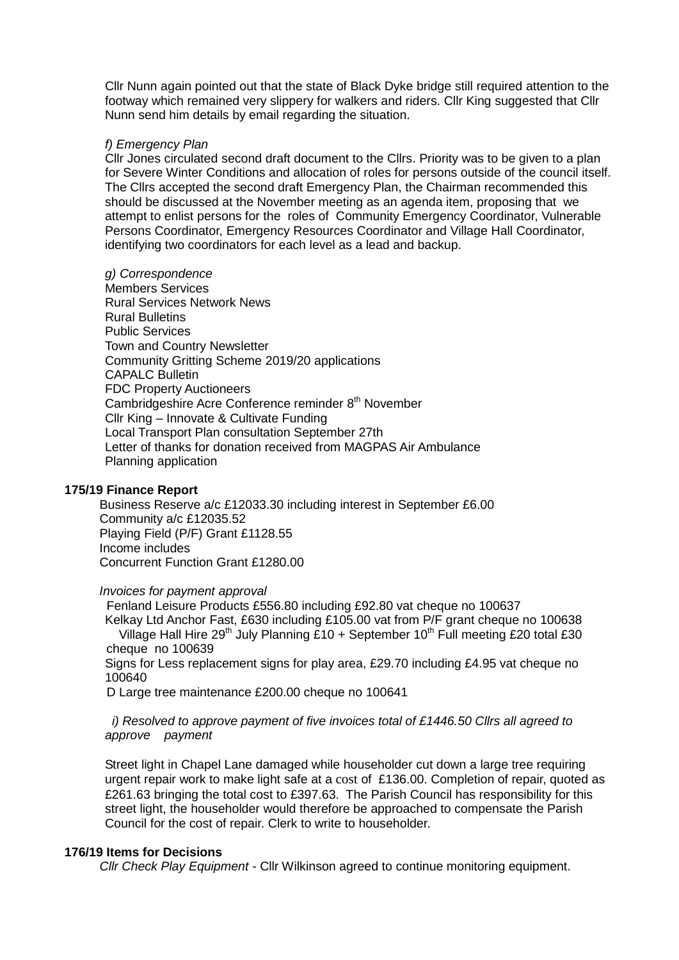Cllr Nunn again pointed out that the state of Black Dyke bridge still required attention to the footway which remained very slippery for walkers and riders. Cllr King suggested that Cllr Nunn send him details by email regarding the situation.

# *f) Emergency Plan*

Cllr Jones circulated second draft document to the Cllrs. Priority was to be given to a plan for Severe Winter Conditions and allocation of roles for persons outside of the council itself. The Cllrs accepted the second draft Emergency Plan, the Chairman recommended this should be discussed at the November meeting as an agenda item, proposing that we attempt to enlist persons for the roles of Community Emergency Coordinator, Vulnerable Persons Coordinator, Emergency Resources Coordinator and Village Hall Coordinator, identifying two coordinators for each level as a lead and backup.

## *g) Correspondence*

Members Services Rural Services Network News Rural Bulletins Public Services Town and Country Newsletter Community Gritting Scheme 2019/20 applications CAPALC Bulletin FDC Property Auctioneers Cambridgeshire Acre Conference reminder 8<sup>th</sup> November Cllr King – Innovate & Cultivate Funding Local Transport Plan consultation September 27th Letter of thanks for donation received from MAGPAS Air Ambulance Planning application

# **175/19 Finance Report**

 Business Reserve a/c £12033.30 including interest in September £6.00 Community a/c £12035.52 Playing Field (P/F) Grant £1128.55 Income includes Concurrent Function Grant £1280.00

## *Invoices for payment approval*

 Fenland Leisure Products £556.80 including £92.80 vat cheque no 100637 Kelkay Ltd Anchor Fast, £630 including £105.00 vat from P/F grant cheque no 100638 Village Hall Hire 29<sup>th</sup> July Planning £10 + September 10<sup>th</sup> Full meeting £20 total £30 cheque no 100639

Signs for Less replacement signs for play area, £29.70 including £4.95 vat cheque no 100640

D Large tree maintenance £200.00 cheque no 100641

 *i) Resolved to approve payment of five invoices total of £1446.50 Cllrs all agreed to approve payment*

Street light in Chapel Lane damaged while householder cut down a large tree requiring urgent repair work to make light safe at a cost of £136.00. Completion of repair, quoted as £261.63 bringing the total cost to £397.63. The Parish Council has responsibility for this street light, the householder would therefore be approached to compensate the Parish Council for the cost of repair. Clerk to write to householder.

# **176/19 Items for Decisions**

 *Cllr Check Play Equipment -* Cllr Wilkinson agreed to continue monitoring equipment.